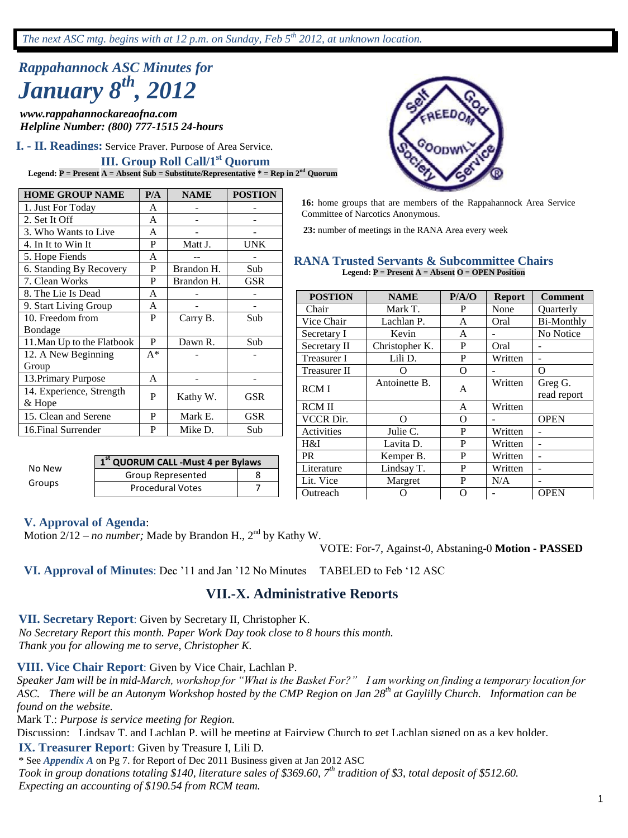# *Rappahannock ASC Minutes for January 8th, 2012*

*www.rappahannockareaofna.com Helpline Number: (800) 777-1515 24-hours*

**I. - II. Readings:** Service Prayer, Purpose of Area Service,

## **III. Group Roll Call/1<sup>st</sup> Quorum**

**Legend: P** = Present  $A =$  Absent  $\overline{Sub}$  = Substitute/Representative  $*$  = Rep in  $2^{nd}$  Quorum

| <b>HOME GROUP NAME</b>     | P/A   | <b>NAME</b> | <b>POSTION</b> |
|----------------------------|-------|-------------|----------------|
| 1. Just For Today          | A     |             |                |
| 2. Set It Off              | A     |             |                |
| 3. Who Wants to Live       | A     |             |                |
| 4. In It to Win It         | P     | Matt J.     | <b>UNK</b>     |
| 5. Hope Fiends             | A     |             |                |
| 6. Standing By Recovery    | P     | Brandon H.  | Sub            |
| 7. Clean Works             | P     | Brandon H.  | GSR            |
| 8. The Lie Is Dead         | A     |             |                |
| 9. Start Living Group      | A     |             |                |
| 10. Freedom from           | P     | Carry B.    | Sub            |
| Bondage                    |       |             |                |
| 11. Man Up to the Flatbook | P     | Dawn R.     | Sub            |
| 12. A New Beginning        | $A^*$ |             |                |
| Group                      |       |             |                |
| 13. Primary Purpose        | A     |             |                |
| 14. Experience, Strength   | P     | Kathy W.    | GSR            |
| & Hope                     |       |             |                |
| 15. Clean and Serene       | P     | Mark E.     | <b>GSR</b>     |
| 16. Final Surrender        | P     | Mike D.     | Sub            |

| No New | 1st QUORUM CALL - Must 4 per Bylaws |  |  |  |
|--------|-------------------------------------|--|--|--|
|        | Group Represented                   |  |  |  |
| Groups | <b>Procedural Votes</b>             |  |  |  |



**16:** home groups that are members of the Rappahannock Area Service Committee of Narcotics Anonymous.

**23:** number of meetings in the RANA Area every week

#### **RANA Trusted Servants & Subcommittee Chairs Legend: P = Present A = Absent O = OPEN Position**

| <b>POSTION</b>      | <b>NAME</b>    | P/A/O    | <b>Report</b> | <b>Comment</b>    |
|---------------------|----------------|----------|---------------|-------------------|
| Chair               | Mark T.        | P        | None          | <b>Ouarterly</b>  |
| Vice Chair          | Lachlan P.     | A        | Oral          | <b>Bi-Monthly</b> |
| Secretary I         | Kevin          | A        |               | No Notice         |
| Secretary II        | Christopher K. | P        | Oral          |                   |
| Treasurer I         | Lili D.        | P        | Written       | $\blacksquare$    |
| <b>Treasurer II</b> | 0              | O        |               | Ω                 |
| <b>RCMI</b>         | Antoinette B.  | A        | Written       | Greg G.           |
|                     |                |          |               | read report       |
| <b>RCM II</b>       |                | A        | Written       |                   |
| <b>VCCR Dir.</b>    | O              | $\Omega$ |               | <b>OPEN</b>       |
| Activities          | Julie C.       | P        | Written       |                   |
| H&I                 | Lavita D.      | P        | Written       |                   |
| <b>PR</b>           | Kemper B.      | P        | Written       |                   |
| Literature          | Lindsay T.     | P        | Written       |                   |
| Lit. Vice           | Margret        | P        | N/A           |                   |
| Outreach            |                | O        |               | <b>OPEN</b>       |

#### **V. Approval of Agenda**:

Motion 2/12 – *no number*; Made by Brandon H., 2<sup>nd</sup> by Kathy W.

VOTE: For-7, Against-0, Abstaning-0 **Motion - PASSED**

**VI. Approval of Minutes**: Dec '11 and Jan '12 No Minutes TABELED to Feb '12 ASC

#### **VII.-X. Administrative Reports**

**VII. Secretary Report**: Given by Secretary II, Christopher K.

*No Secretary Report this month. Paper Work Day took close to 8 hours this month. Thank you for allowing me to serve, Christopher K.*

#### **VIII. Vice Chair Report**: Given by Vice Chair, Lachlan P.

*Speaker Jam will be in mid-March, workshop for "What is the Basket For?" I am working on finding a temporary location for ASC. There will be an Autonym Workshop hosted by the CMP Region on Jan 28th at Gaylilly Church. Information can be found on the website.*

Mark T.: *Purpose is service meeting for Region.*

Discussion: Lindsay T. and Lachlan P. will be meeting at Fairview Church to get Lachlan signed on as a key holder.

#### **IX. Treasurer Report**: Given by Treasure I, Lili D.

\* See *Appendix A* on Pg 7. for Report of Dec 2011 Business given at Jan 2012 ASC *Took in group donations totaling \$140, literature sales of \$369.60, 7th tradition of \$3, total deposit of \$512.60. Expecting an accounting of \$190.54 from RCM team.*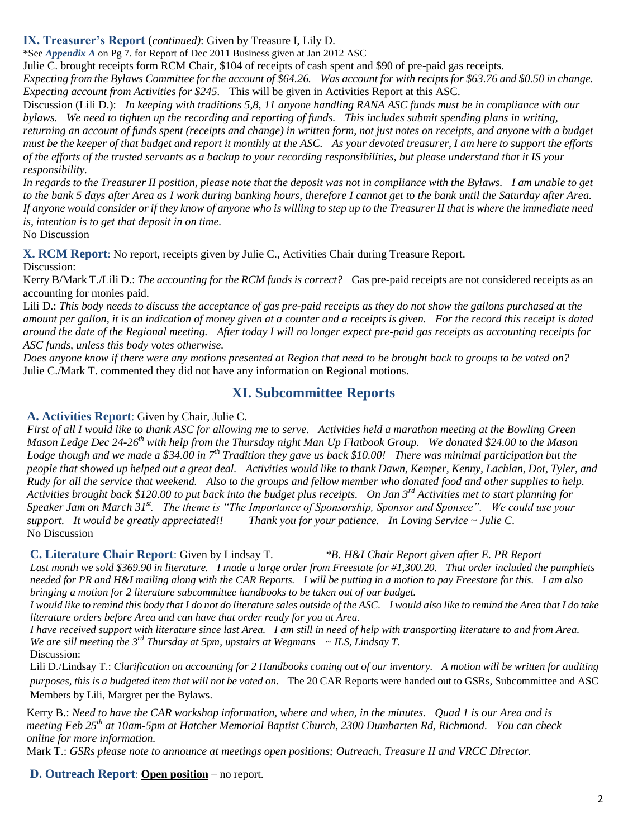#### **IX. Treasurer's Report** (*continued)*: Given by Treasure I, Lily D.

\*See *Appendix A* on Pg 7. for Report of Dec 2011 Business given at Jan 2012 ASC

Julie C. brought receipts form RCM Chair, \$104 of receipts of cash spent and \$90 of pre-paid gas receipts.

*Expecting from the Bylaws Committee for the account of \$64.26. Was account for with recipts for \$63.76 and \$0.50 in change. Expecting account from Activities for \$245.* This will be given in Activities Report at this ASC.

Discussion (Lili D.): *In keeping with traditions 5,8, 11 anyone handling RANA ASC funds must be in compliance with our bylaws. We need to tighten up the recording and reporting of funds. This includes submit spending plans in writing, returning an account of funds spent (receipts and change) in written form, not just notes on receipts, and anyone with a budget must be the keeper of that budget and report it monthly at the ASC. As your devoted treasurer, I am here to support the efforts of the efforts of the trusted servants as a backup to your recording responsibilities, but please understand that it IS your responsibility.*

*In regards to the Treasurer II position, please note that the deposit was not in compliance with the Bylaws. I am unable to get to the bank 5 days after Area as I work during banking hours, therefore I cannot get to the bank until the Saturday after Area. If anyone would consider or if they know of anyone who is willing to step up to the Treasurer II that is where the immediate need is, intention is to get that deposit in on time.*

No Discussion

**X. RCM Report**: No report, receipts given by Julie C., Activities Chair during Treasure Report.

Discussion:

Kerry B/Mark T./Lili D.: *The accounting for the RCM funds is correct?* Gas pre-paid receipts are not considered receipts as an accounting for monies paid.

Lili D.: *This body needs to discuss the acceptance of gas pre-paid receipts as they do not show the gallons purchased at the amount per gallon, it is an indication of money given at a counter and a receipts is given. For the record this receipt is dated around the date of the Regional meeting. After today I will no longer expect pre-paid gas receipts as accounting receipts for ASC funds, unless this body votes otherwise.*

*Does anyone know if there were any motions presented at Region that need to be brought back to groups to be voted on?* Julie C./Mark T. commented they did not have any information on Regional motions.

## **XI. Subcommittee Reports**

**A. Activities Report**: Given by Chair, Julie C.

*First of all I would like to thank ASC for allowing me to serve. Activities held a marathon meeting at the Bowling Green Mason Ledge Dec 24-26th with help from the Thursday night Man Up Flatbook Group. We donated \$24.00 to the Mason Lodge though and we made a \$34.00 in 7th Tradition they gave us back \$10.00! There was minimal participation but the people that showed up helped out a great deal. Activities would like to thank Dawn, Kemper, Kenny, Lachlan, Dot, Tyler, and Rudy for all the service that weekend. Also to the groups and fellow member who donated food and other supplies to help. Activities brought back \$120.00 to put back into the budget plus receipts. On Jan 3rd Activities met to start planning for Speaker Jam on March 31st. The theme is "The Importance of Sponsorship, Sponsor and Sponsee". We could use your support. It would be greatly appreciated!! Thank you for your patience. In Loving Service ~ Julie C.* No Discussion

**C. Literature Chair Report**: Given by Lindsay T. *\*B. H&I Chair Report given after E. PR Report*

*Last month we sold \$369.90 in literature. I made a large order from Freestate for #1,300.20. That order included the pamphlets needed for PR and H&I mailing along with the CAR Reports. I will be putting in a motion to pay Freestare for this. I am also bringing a motion for 2 literature subcommittee handbooks to be taken out of our budget.* 

*I would like to remind this body that I do not do literature sales outside of the ASC. I would also like to remind the Area that I do take literature orders before Area and can have that order ready for you at Area.*

*I have received support with literature since last Area. I am still in need of help with transporting literature to and from Area. We are sill meeting the 3rd Thursday at 5pm, upstairs at Wegmans ~ ILS, Lindsay T.* Discussion:

Lili D./Lindsay T.: *Clarification on accounting for 2 Handbooks coming out of our inventory. A motion will be written for auditing purposes, this is a budgeted item that will not be voted on.* The 20 CAR Reports were handed out to GSRs, Subcommittee and ASC Members by Lili, Margret per the Bylaws.

Kerry B.: *Need to have the CAR workshop information, where and when, in the minutes. Quad 1 is our Area and is meeting Feb 25th at 10am-5pm at Hatcher Memorial Baptist Church, 2300 Dumbarten Rd, Richmond. You can check online for more information.*

Mark T.: *GSRs please note to announce at meetings open positions; Outreach, Treasure II and VRCC Director.*

**D. Outreach Report**: **Open position** – no report.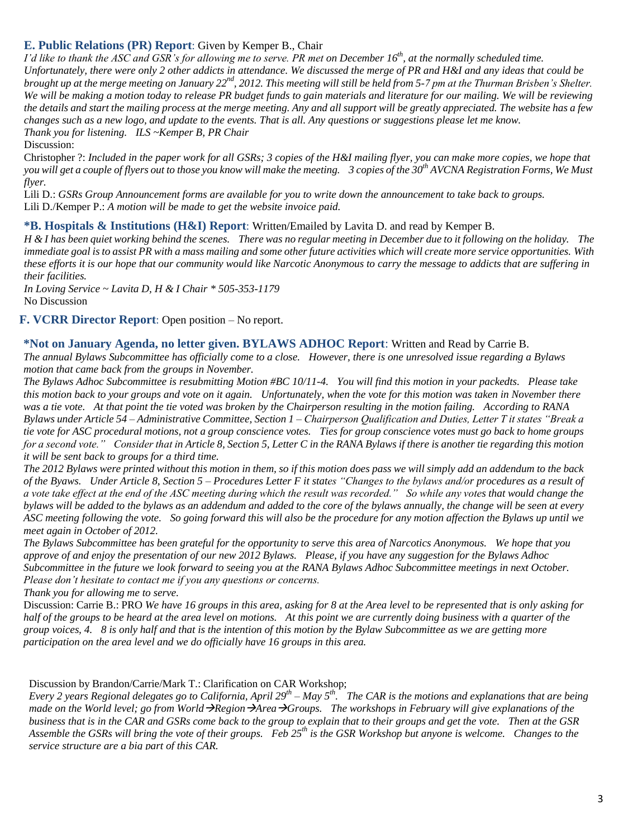#### **E. Public Relations (PR) Report**: Given by Kemper B., Chair

*I'd like to thank the ASC and GSR's for allowing me to serve. PR met on December 16th, at the normally scheduled time. Unfortunately, there were only 2 other addicts in attendance. We discussed the merge of PR and H&I and any ideas that could be brought up at the merge meeting on January 22nd, 2012. This meeting will still be held from 5-7 pm at the Thurman Brisben's Shelter. We will be making a motion today to release PR budget funds to gain materials and literature for our mailing. We will be reviewing the details and start the mailing process at the merge meeting. Any and all support will be greatly appreciated. The website has a few changes such as a new logo, and update to the events. That is all. Any questions or suggestions please let me know. Thank you for listening. ILS ~Kemper B, PR Chair*

Discussion:

Christopher ?: *Included in the paper work for all GSRs; 3 copies of the H&I mailing flyer, you can make more copies, we hope that you will get a couple of flyers out to those you know will make the meeting. 3 copies of the 30th AVCNA Registration Forms, We Must flyer.* 

Lili D.: *GSRs Group Announcement forms are available for you to write down the announcement to take back to groups.* Lili D./Kemper P.: *A motion will be made to get the website invoice paid.*

#### **\*B. Hospitals & Institutions (H&I) Report**: Written/Emailed by Lavita D. and read by Kemper B.

*H & I has been quiet working behind the scenes. There was no regular meeting in December due to it following on the holiday. The immediate goal is to assist PR with a mass mailing and some other future activities which will create more service opportunities. With these efforts it is our hope that our community would like Narcotic Anonymous to carry the message to addicts that are suffering in their facilities.*

*In Loving Service ~ Lavita D, H & I Chair \* 505-353-1179* No Discussion

#### **F. VCRR Director Report**: Open position – No report.

#### **\*Not on January Agenda, no letter given. BYLAWS ADHOC Report**: Written and Read by Carrie B.

*The annual Bylaws Subcommittee has officially come to a close. However, there is one unresolved issue regarding a Bylaws motion that came back from the groups in November.* 

*The Bylaws Adhoc Subcommittee is resubmitting Motion #BC 10/11-4. You will find this motion in your packedts. Please take this motion back to your groups and vote on it again. Unfortunately, when the vote for this motion was taken in November there was a tie vote. At that point the tie voted was broken by the Chairperson resulting in the motion failing. According to RANA Bylaws under Article 54 – Administrative Committee, Section 1 – Chairperson Qualification and Duties, Letter T it states "Break a tie vote for ASC procedural motions, not a group conscience votes. Ties for group conscience votes must go back to home groups for a second vote." Consider that in Article 8, Section 5, Letter C in the RANA Bylaws if there is another tie regarding this motion it will be sent back to groups for a third time.*

*The 2012 Bylaws were printed without this motion in them, so if this motion does pass we will simply add an addendum to the back of the Byaws. Under Article 8, Section 5 – Procedures Letter F it states "Changes to the bylaws and/or procedures as a result of a vote take effect at the end of the ASC meeting during which the result was recorded." So while any votes that would change the bylaws will be added to the bylaws as an addendum and added to the core of the bylaws annually, the change will be seen at every ASC meeting following the vote. So going forward this will also be the procedure for any motion affection the Bylaws up until we meet again in October of 2012.*

*The Bylaws Subcommittee has been grateful for the opportunity to serve this area of Narcotics Anonymous. We hope that you approve of and enjoy the presentation of our new 2012 Bylaws. Please, if you have any suggestion for the Bylaws Adhoc Subcommittee in the future we look forward to seeing you at the RANA Bylaws Adhoc Subcommittee meetings in next October. Please don't hesitate to contact me if you any questions or concerns.*

*Thank you for allowing me to serve.* 

Discussion: Carrie B.: PRO *We have 16 groups in this area, asking for 8 at the Area level to be represented that is only asking for half of the groups to be heard at the area level on motions. At this point we are currently doing business with a quarter of the group voices, 4. 8 is only half and that is the intention of this motion by the Bylaw Subcommittee as we are getting more participation on the area level and we do officially have 16 groups in this area.*

Discussion by Brandon/Carrie/Mark T.: Clarification on CAR Workshop;

*Every 2 years Regional delegates go to California, April 29th – May 5th. The CAR is the motions and explanations that are being made on the World level; go from World*  $\rightarrow$ *Region*  $\rightarrow$ *Area*  $\rightarrow$ *Groups. The workshops in February will give explanations of the business that is in the CAR and GSRs come back to the group to explain that to their groups and get the vote. Then at the GSR Assemble the GSRs will bring the vote of their groups. Feb 25th is the GSR Workshop but anyone is welcome. Changes to the service structure are a big part of this CAR.*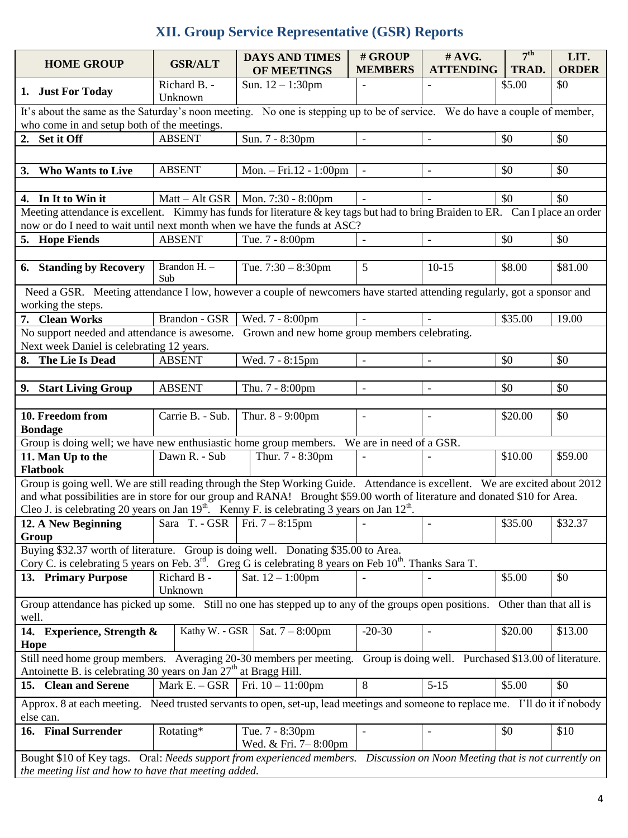## **XII. Group Service Representative (GSR) Reports**

|                                                                                                                                                                                                            | <b>HOME GROUP</b>                                                                                                                                                                  | <b>GSR/ALT</b>          | <b>DAYS AND TIMES</b><br>OF MEETINGS          | # GROUP<br><b>MEMBERS</b> | # AVG.<br><b>ATTENDING</b> | 7 <sup>th</sup><br>TRAD. | LIT.<br><b>ORDER</b> |  |  |
|------------------------------------------------------------------------------------------------------------------------------------------------------------------------------------------------------------|------------------------------------------------------------------------------------------------------------------------------------------------------------------------------------|-------------------------|-----------------------------------------------|---------------------------|----------------------------|--------------------------|----------------------|--|--|
|                                                                                                                                                                                                            | 1. Just For Today                                                                                                                                                                  | Richard B. -<br>Unknown | Sun. $12 - 1:30$ pm                           |                           |                            | \$5.00                   | \$0                  |  |  |
| It's about the same as the Saturday's noon meeting. No one is stepping up to be of service. We do have a couple of member,<br>who come in and setup both of the meetings.                                  |                                                                                                                                                                                    |                         |                                               |                           |                            |                          |                      |  |  |
|                                                                                                                                                                                                            | 2. Set it Off                                                                                                                                                                      | <b>ABSENT</b>           | Sun. 7 - 8:30pm                               |                           | $\blacksquare$             | \$0                      | \$0                  |  |  |
|                                                                                                                                                                                                            |                                                                                                                                                                                    |                         |                                               |                           |                            |                          |                      |  |  |
| 3.                                                                                                                                                                                                         | <b>Who Wants to Live</b>                                                                                                                                                           | <b>ABSENT</b>           | Mon. - Fri.12 - 1:00pm                        |                           | $\overline{\phantom{a}}$   | \$0                      | \$0                  |  |  |
|                                                                                                                                                                                                            |                                                                                                                                                                                    |                         |                                               |                           |                            |                          |                      |  |  |
|                                                                                                                                                                                                            | \$0<br>\$0<br>Matt – Alt GSR   Mon. 7:30 - 8:00pm<br>4. In It to Win it<br>$\blacksquare$                                                                                          |                         |                                               |                           |                            |                          |                      |  |  |
|                                                                                                                                                                                                            | Meeting attendance is excellent. Kimmy has funds for literature & key tags but had to bring Braiden to ER. Can I place an order                                                    |                         |                                               |                           |                            |                          |                      |  |  |
|                                                                                                                                                                                                            | now or do I need to wait until next month when we have the funds at ASC?                                                                                                           |                         |                                               |                           |                            |                          |                      |  |  |
|                                                                                                                                                                                                            | 5. Hope Fiends                                                                                                                                                                     | <b>ABSENT</b>           | Tue. 7 - 8:00pm                               |                           | $\mathbf{r}$               | \$0                      | \$0                  |  |  |
|                                                                                                                                                                                                            |                                                                                                                                                                                    |                         |                                               |                           |                            |                          |                      |  |  |
|                                                                                                                                                                                                            | 6. Standing by Recovery                                                                                                                                                            | Brandon H. -<br>Sub     | Tue. $7:30 - 8:30$ pm                         | 5                         | $10-15$                    | \$8.00                   | \$81.00              |  |  |
|                                                                                                                                                                                                            | Need a GSR. Meeting attendance I low, however a couple of newcomers have started attending regularly, got a sponsor and                                                            |                         |                                               |                           |                            |                          |                      |  |  |
|                                                                                                                                                                                                            | working the steps.                                                                                                                                                                 |                         |                                               |                           |                            |                          |                      |  |  |
|                                                                                                                                                                                                            | 7. Clean Works                                                                                                                                                                     | Brandon - GSR           | Wed. 7 - 8:00pm                               |                           |                            | \$35.00                  | 19.00                |  |  |
|                                                                                                                                                                                                            | No support needed and attendance is awesome.                                                                                                                                       |                         | Grown and new home group members celebrating. |                           |                            |                          |                      |  |  |
|                                                                                                                                                                                                            | Next week Daniel is celebrating 12 years.                                                                                                                                          |                         |                                               |                           |                            |                          |                      |  |  |
|                                                                                                                                                                                                            | 8. The Lie Is Dead                                                                                                                                                                 | <b>ABSENT</b>           | Wed. 7 - 8:15pm                               |                           | $\blacksquare$             | \$0                      | \$0                  |  |  |
|                                                                                                                                                                                                            |                                                                                                                                                                                    |                         |                                               |                           |                            |                          |                      |  |  |
|                                                                                                                                                                                                            | 9. Start Living Group                                                                                                                                                              | <b>ABSENT</b>           | Thu. 7 - 8:00pm                               | $\overline{\phantom{a}}$  | $\overline{\phantom{a}}$   | \$0                      | \$0                  |  |  |
|                                                                                                                                                                                                            |                                                                                                                                                                                    |                         |                                               |                           |                            |                          |                      |  |  |
|                                                                                                                                                                                                            | 10. Freedom from                                                                                                                                                                   | Carrie B. - Sub.        | Thur. 8 - 9:00pm                              |                           | $\overline{a}$             | \$20.00                  | \$0                  |  |  |
|                                                                                                                                                                                                            | <b>Bondage</b>                                                                                                                                                                     |                         |                                               |                           |                            |                          |                      |  |  |
|                                                                                                                                                                                                            | Group is doing well; we have new enthusiastic home group members.                                                                                                                  | Dawn R. - Sub           | Thur. 7 - 8:30pm                              | We are in need of a GSR.  |                            | \$10.00                  | \$59.00              |  |  |
|                                                                                                                                                                                                            | 11. Man Up to the<br>Flatbook                                                                                                                                                      |                         |                                               |                           |                            |                          |                      |  |  |
|                                                                                                                                                                                                            | Group is going well. We are still reading through the Step Working Guide. Attendance is excellent. We are excited about 2012                                                       |                         |                                               |                           |                            |                          |                      |  |  |
|                                                                                                                                                                                                            | and what possibilities are in store for our group and RANA! Brought \$59.00 worth of literature and donated \$10 for Area.                                                         |                         |                                               |                           |                            |                          |                      |  |  |
|                                                                                                                                                                                                            | Cleo J. is celebrating 20 years on Jan $19th$ . Kenny F. is celebrating 3 years on Jan $12th$ .                                                                                    | Sara T. - GSR           | Fri. $7 - 8:15$ pm                            |                           |                            | \$35.00                  | \$32.37              |  |  |
|                                                                                                                                                                                                            | 12. A New Beginning<br>Group                                                                                                                                                       |                         |                                               |                           | $\overline{\phantom{a}}$   |                          |                      |  |  |
|                                                                                                                                                                                                            | Buying \$32.37 worth of literature. Group is doing well. Donating \$35.00 to Area.                                                                                                 |                         |                                               |                           |                            |                          |                      |  |  |
|                                                                                                                                                                                                            | Cory C. is celebrating 5 years on Feb. 3 <sup>rd</sup> . Greg G is celebrating 8 years on Feb 10 <sup>th</sup> . Thanks Sara T.                                                    |                         |                                               |                           |                            |                          |                      |  |  |
|                                                                                                                                                                                                            | 13. Primary Purpose                                                                                                                                                                | Richard B -             | Sat. $12 - 1:00$ pm                           |                           |                            | \$5.00                   | \$0                  |  |  |
|                                                                                                                                                                                                            |                                                                                                                                                                                    | Unknown                 |                                               |                           |                            |                          |                      |  |  |
| well.                                                                                                                                                                                                      | Group attendance has picked up some. Still no one has stepped up to any of the groups open positions.                                                                              |                         |                                               |                           |                            | Other than that all is   |                      |  |  |
|                                                                                                                                                                                                            | 14. Experience, Strength &                                                                                                                                                         | Kathy W. - GSR          | Sat. $7 - 8:00 \text{pm}$                     | $-20-30$                  |                            | \$20.00                  | \$13.00              |  |  |
| Hope<br>Still need home group members. Averaging 20-30 members per meeting.<br>Group is doing well. Purchased \$13.00 of literature.<br>Antoinette B. is celebrating 30 years on Jan $27th$ at Bragg Hill. |                                                                                                                                                                                    |                         |                                               |                           |                            |                          |                      |  |  |
|                                                                                                                                                                                                            | 15. Clean and Serene                                                                                                                                                               | Mark $E. - GSR$         | Fri. $10 - 11:00$ pm                          | 8                         | $5-15$                     | \$5.00                   | \$0                  |  |  |
| Approx. 8 at each meeting. Need trusted servants to open, set-up, lead meetings and someone to replace me. I'll do it if nobody                                                                            |                                                                                                                                                                                    |                         |                                               |                           |                            |                          |                      |  |  |
| else can.                                                                                                                                                                                                  |                                                                                                                                                                                    |                         |                                               |                           |                            |                          |                      |  |  |
|                                                                                                                                                                                                            | 16. Final Surrender                                                                                                                                                                | Rotating*               | Tue. 7 - 8:30pm<br>Wed. & Fri. 7-8:00pm       |                           |                            | \$0                      | \$10                 |  |  |
|                                                                                                                                                                                                            | Bought \$10 of Key tags. Oral: Needs support from experienced members. Discussion on Noon Meeting that is not currently on<br>the meeting list and how to have that meeting added. |                         |                                               |                           |                            |                          |                      |  |  |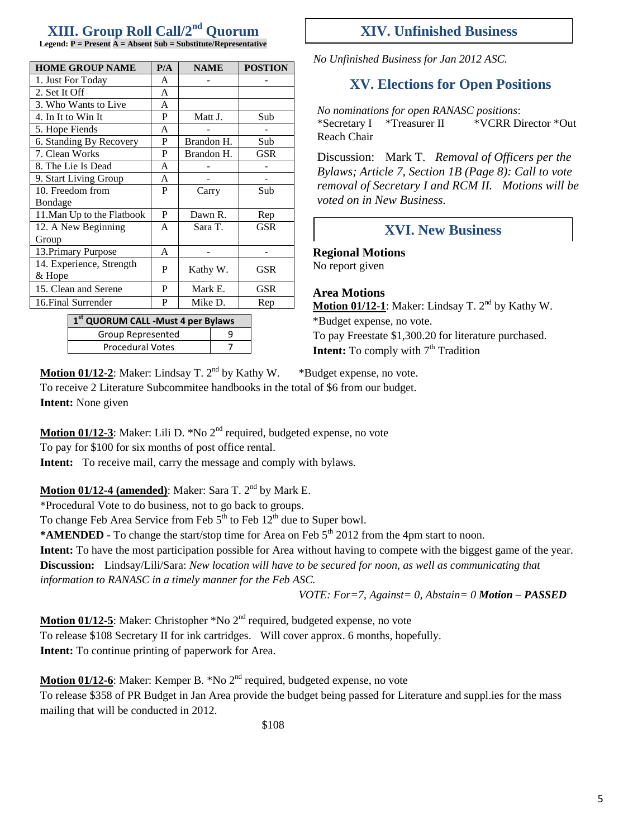## **XIII. Group Roll Call/2nd Quorum**

**Legend: P = Present A = Absent Sub = Substitute/Representative**

| <b>HOME GROUP NAME</b>     | P/A | <b>NAME</b> | <b>POSTION</b> |
|----------------------------|-----|-------------|----------------|
| 1. Just For Today          | A   |             |                |
| 2. Set It Off              | A   |             |                |
| 3. Who Wants to Live       | A   |             |                |
| 4. In It to Win It         | P   | Matt J.     | Sub            |
| 5. Hope Fiends             | A   |             |                |
| 6. Standing By Recovery    | P   | Brandon H.  | Sub            |
| 7. Clean Works             | P   | Brandon H.  | GSR            |
| 8. The Lie Is Dead         | A   |             |                |
| 9. Start Living Group      | A   |             |                |
| 10. Freedom from           | P   | Carry       | Sub            |
| Bondage                    |     |             |                |
| 11. Man Up to the Flatbook | P   | Dawn R.     | Rep            |
| 12. A New Beginning        | A   | Sara T.     | <b>GSR</b>     |
| Group                      |     |             |                |
| 13. Primary Purpose        | A   |             |                |
| 14. Experience, Strength   | P   | Kathy W.    | GSR            |
| & Hope                     |     |             |                |
| 15. Clean and Serene       | P   | Mark E.     | GSR            |
| 16. Final Surrender        | P   | Mike D.     | Rep            |
| — c+                       |     |             |                |

**1 st QUORUM CALL -Must 4 per Bylaws** Group Represented | 9 Procedural Votes 17

### **XIV. Unfinished Business**

*No Unfinished Business for Jan 2012 ASC.*

## **XV. Elections for Open Positions**

*No nominations for open RANASC positions*: \*Secretary I \*Treasurer II \*VCRR Director \*Out Reach Chair

Discussion:Mark T. *Removal of Officers per the Bylaws; Article 7, Section 1B (Page 8): Call to vote removal of Secretary I and RCM II. Motions will be voted on in New Business.*

### **XVI. New Business**

**Regional Motions** No report given

**Area Motions**

Motion 01/12-1: Maker: Lindsay T. 2<sup>nd</sup> by Kathy W. \*Budget expense, no vote. To pay Freestate \$1,300.20 for literature purchased. **Intent:** To comply with  $7<sup>th</sup>$  Tradition

**Motion 01/12-2:** Maker: Lindsay T. 2<sup>nd</sup> by Kathy W. \*Budget expense, no vote. To receive 2 Literature Subcommitee handbooks in the total of \$6 from our budget. **Intent:** None given

**Motion 01/12-3**: Maker: Lili D. \*No 2<sup>nd</sup> required, budgeted expense, no vote

To pay for \$100 for six months of post office rental.

**Intent:** To receive mail, carry the message and comply with bylaws.

**Motion 01/12-4 (amended):** Maker: Sara T.  $2<sup>nd</sup>$  by Mark E.

\*Procedural Vote to do business, not to go back to groups.

To change Feb Area Service from Feb  $5<sup>th</sup>$  to Feb 12<sup>th</sup> due to Super bowl.

\***AMENDED** - To change the start/stop time for Area on Feb 5<sup>th</sup> 2012 from the 4pm start to noon.

**Intent:** To have the most participation possible for Area without having to compete with the biggest game of the year.

**Discussion:** Lindsay/Lili/Sara: *New location will have to be secured for noon, as well as communicating that information to RANASC in a timely manner for the Feb ASC.*

*VOTE: For=7, Against= 0, Abstain= 0 Motion – PASSED*

**Motion 01/12-5**: Maker: Christopher \*No 2<sup>nd</sup> required, budgeted expense, no vote To release \$108 Secretary II for ink cartridges. Will cover approx. 6 months, hopefully. **Intent:** To continue printing of paperwork for Area.

**Motion 01/12-6**: Maker: Kemper B. \*No 2<sup>nd</sup> required, budgeted expense, no vote To release \$358 of PR Budget in Jan Area provide the budget being passed for Literature and suppl.ies for the mass mailing that will be conducted in 2012.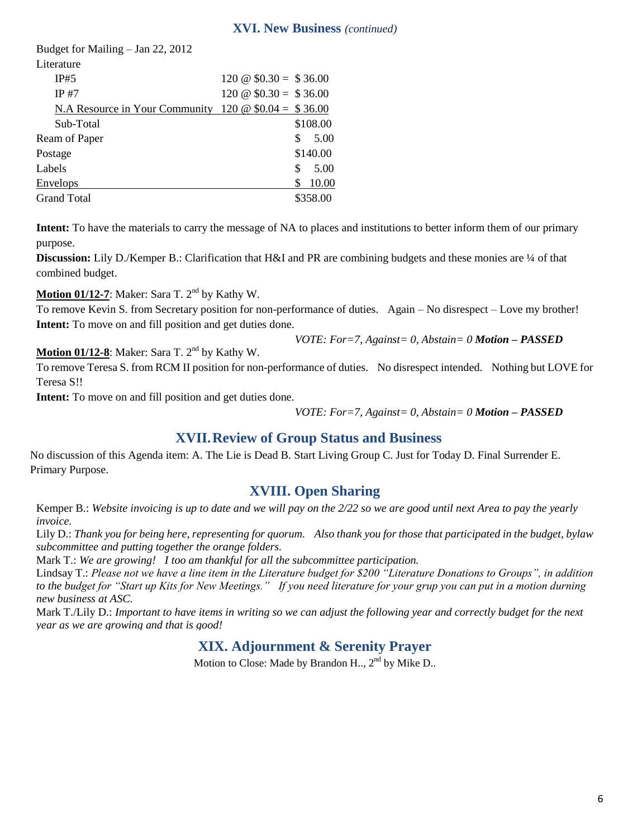#### **XVI. New Business** *(continued)*

| <u>N.A Resource in Your Community 120 <math>\omega</math> \$0.04 = \$36.00</u> |                                                    |
|--------------------------------------------------------------------------------|----------------------------------------------------|
|                                                                                | \$108.00                                           |
|                                                                                | 5.00<br>\$.                                        |
|                                                                                | \$140.00                                           |
|                                                                                | 5.00<br>\$                                         |
|                                                                                | 10.00                                              |
|                                                                                | \$358.00                                           |
|                                                                                | $120 \& 0.30 = 0.36.00$<br>$120 \& 0.30 = 0.36.00$ |

**Intent:** To have the materials to carry the message of NA to places and institutions to better inform them of our primary purpose.

**Discussion:** Lily D./Kemper B.: Clarification that H&I and PR are combining budgets and these monies are ¼ of that combined budget.

**Motion 01/12-7**: Maker: Sara T. 2<sup>nd</sup> by Kathy W.

To remove Kevin S. from Secretary position for non-performance of duties. Again – No disrespect – Love my brother! **Intent:** To move on and fill position and get duties done.

*VOTE: For=7, Against= 0, Abstain= 0 Motion – PASSED*

**Motion 01/12-8**: Maker: Sara T. 2<sup>nd</sup> by Kathy W.

To remove Teresa S. from RCM II position for non-performance of duties. No disrespect intended. Nothing but LOVE for Teresa S!!

**Intent:** To move on and fill position and get duties done.

*VOTE: For=7, Against= 0, Abstain= 0 Motion – PASSED*

## **XVII.Review of Group Status and Business**

No discussion of this Agenda item: A. The Lie is Dead B. Start Living Group C. Just for Today D. Final Surrender E. Primary Purpose.

## **XVIII. Open Sharing**

Kemper B.: *Website invoicing is up to date and we will pay on the 2/22 so we are good until next Area to pay the yearly invoice.*

Lily D.: *Thank you for being here, representing for quorum. Also thank you for those that participated in the budget, bylaw subcommittee and putting together the orange folders.*

Mark T.: *We are growing! I too am thankful for all the subcommittee participation.*

Lindsay T.: *Please not we have a line item in the Literature budget for \$200 "Literature Donations to Groups", in addition to the budget for "Start up Kits for New Meetings." If you need literature for your grup you can put in a motion durning new business at ASC.*

Mark T./Lily D.: *Important to have items in writing so we can adjust the following year and correctly budget for the next year as we are growing and that is good!*

## **XIX. Adjournment & Serenity Prayer**

Motion to Close: Made by Brandon H.,  $2<sup>nd</sup>$  by Mike D..